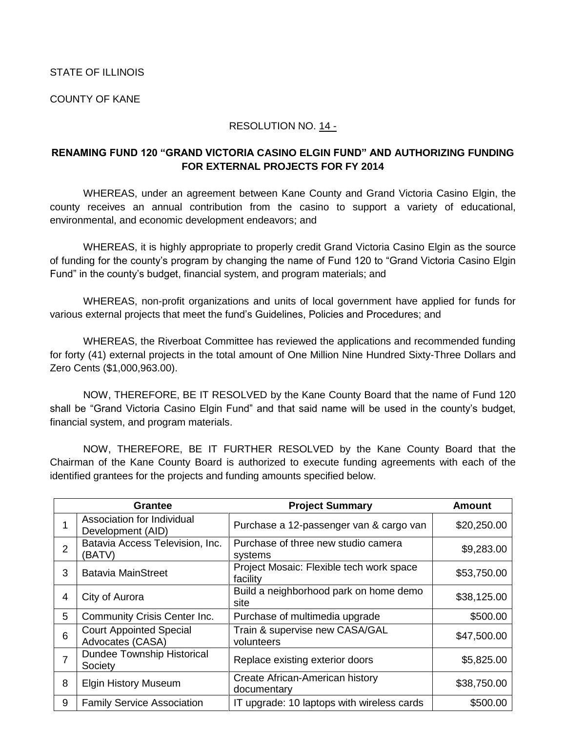## STATE OF ILLINOIS

COUNTY OF KANE

## RESOLUTION NO. 14 -

## **RENAMING FUND 120 "GRAND VICTORIA CASINO ELGIN FUND" AND AUTHORIZING FUNDING FOR EXTERNAL PROJECTS FOR FY 2014**

WHEREAS, under an agreement between Kane County and Grand Victoria Casino Elgin, the county receives an annual contribution from the casino to support a variety of educational, environmental, and economic development endeavors; and

WHEREAS, it is highly appropriate to properly credit Grand Victoria Casino Elgin as the source of funding for the county's program by changing the name of Fund 120 to "Grand Victoria Casino Elgin Fund" in the county's budget, financial system, and program materials; and

WHEREAS, non-profit organizations and units of local government have applied for funds for various external projects that meet the fund's Guidelines, Policies and Procedures; and

WHEREAS, the Riverboat Committee has reviewed the applications and recommended funding for forty (41) external projects in the total amount of One Million Nine Hundred Sixty-Three Dollars and Zero Cents (\$1,000,963.00).

NOW, THEREFORE, BE IT RESOLVED by the Kane County Board that the name of Fund 120 shall be "Grand Victoria Casino Elgin Fund" and that said name will be used in the county's budget, financial system, and program materials.

NOW, THEREFORE, BE IT FURTHER RESOLVED by the Kane County Board that the Chairman of the Kane County Board is authorized to execute funding agreements with each of the identified grantees for the projects and funding amounts specified below.

|                | Grantee                                            | <b>Project Summary</b>                               | <b>Amount</b> |
|----------------|----------------------------------------------------|------------------------------------------------------|---------------|
|                | Association for Individual<br>Development (AID)    | Purchase a 12-passenger van & cargo van              | \$20,250.00   |
| $\overline{2}$ | Batavia Access Television, Inc.<br>(BATV)          | Purchase of three new studio camera<br>systems       | \$9,283.00    |
| 3              | <b>Batavia MainStreet</b>                          | Project Mosaic: Flexible tech work space<br>facility | \$53,750.00   |
| 4              | City of Aurora                                     | Build a neighborhood park on home demo<br>site       | \$38,125.00   |
| 5              | <b>Community Crisis Center Inc.</b>                | Purchase of multimedia upgrade                       | \$500.00      |
| 6              | <b>Court Appointed Special</b><br>Advocates (CASA) | Train & supervise new CASA/GAL<br>volunteers         | \$47,500.00   |
| 7              | <b>Dundee Township Historical</b><br>Society       | Replace existing exterior doors                      | \$5,825.00    |
| 8              | <b>Elgin History Museum</b>                        | Create African-American history<br>documentary       | \$38,750.00   |
| 9              | <b>Family Service Association</b>                  | IT upgrade: 10 laptops with wireless cards           | \$500.00      |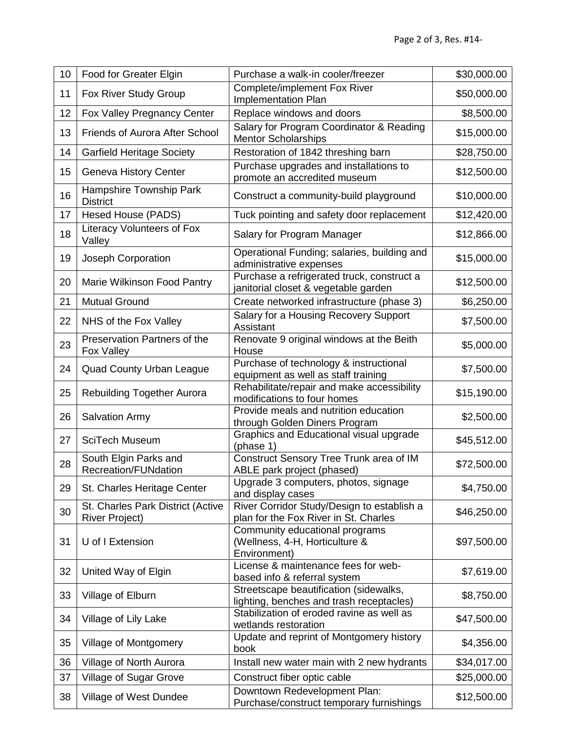| 10 | Food for Greater Elgin                                     | Purchase a walk-in cooler/freezer                                                   | \$30,000.00 |
|----|------------------------------------------------------------|-------------------------------------------------------------------------------------|-------------|
| 11 | Fox River Study Group                                      | <b>Complete/implement Fox River</b><br>Implementation Plan                          | \$50,000.00 |
| 12 | Fox Valley Pregnancy Center                                | Replace windows and doors                                                           | \$8,500.00  |
| 13 | <b>Friends of Aurora After School</b>                      | Salary for Program Coordinator & Reading<br><b>Mentor Scholarships</b>              | \$15,000.00 |
| 14 | <b>Garfield Heritage Society</b>                           | Restoration of 1842 threshing barn                                                  | \$28,750.00 |
| 15 | Geneva History Center                                      | Purchase upgrades and installations to<br>promote an accredited museum              | \$12,500.00 |
| 16 | Hampshire Township Park<br><b>District</b>                 | Construct a community-build playground                                              | \$10,000.00 |
| 17 | Hesed House (PADS)                                         | Tuck pointing and safety door replacement                                           | \$12,420.00 |
| 18 | Literacy Volunteers of Fox<br>Valley                       | Salary for Program Manager                                                          | \$12,866.00 |
| 19 | Joseph Corporation                                         | Operational Funding; salaries, building and<br>administrative expenses              | \$15,000.00 |
| 20 | Marie Wilkinson Food Pantry                                | Purchase a refrigerated truck, construct a<br>janitorial closet & vegetable garden  | \$12,500.00 |
| 21 | <b>Mutual Ground</b>                                       | Create networked infrastructure (phase 3)                                           | \$6,250.00  |
| 22 | NHS of the Fox Valley                                      | Salary for a Housing Recovery Support<br>Assistant                                  | \$7,500.00  |
| 23 | Preservation Partners of the<br>Fox Valley                 | Renovate 9 original windows at the Beith<br>House                                   | \$5,000.00  |
| 24 | <b>Quad County Urban League</b>                            | Purchase of technology & instructional<br>equipment as well as staff training       | \$7,500.00  |
| 25 | Rebuilding Together Aurora                                 | Rehabilitate/repair and make accessibility<br>modifications to four homes           | \$15,190.00 |
| 26 | <b>Salvation Army</b>                                      | Provide meals and nutrition education<br>through Golden Diners Program              | \$2,500.00  |
| 27 | <b>SciTech Museum</b>                                      | Graphics and Educational visual upgrade<br>(phase 1)                                | \$45,512.00 |
| 28 | South Elgin Parks and<br><b>Recreation/FUNdation</b>       | Construct Sensory Tree Trunk area of IM<br>ABLE park project (phased)               | \$72,500.00 |
| 29 | St. Charles Heritage Center                                | Upgrade 3 computers, photos, signage<br>and display cases                           | \$4,750.00  |
| 30 | St. Charles Park District (Active<br><b>River Project)</b> | River Corridor Study/Design to establish a<br>plan for the Fox River in St. Charles | \$46,250.00 |
| 31 | U of I Extension                                           | Community educational programs<br>(Wellness, 4-H, Horticulture &<br>Environment)    | \$97,500.00 |
| 32 | United Way of Elgin                                        | License & maintenance fees for web-<br>based info & referral system                 | \$7,619.00  |
| 33 | Village of Elburn                                          | Streetscape beautification (sidewalks,<br>lighting, benches and trash receptacles)  | \$8,750.00  |
| 34 | Village of Lily Lake                                       | Stabilization of eroded ravine as well as<br>wetlands restoration                   | \$47,500.00 |
| 35 | Village of Montgomery                                      | Update and reprint of Montgomery history<br>book                                    | \$4,356.00  |
| 36 | Village of North Aurora                                    | Install new water main with 2 new hydrants                                          | \$34,017.00 |
| 37 | Village of Sugar Grove                                     | Construct fiber optic cable                                                         | \$25,000.00 |
| 38 | Village of West Dundee                                     | Downtown Redevelopment Plan:<br>Purchase/construct temporary furnishings            | \$12,500.00 |